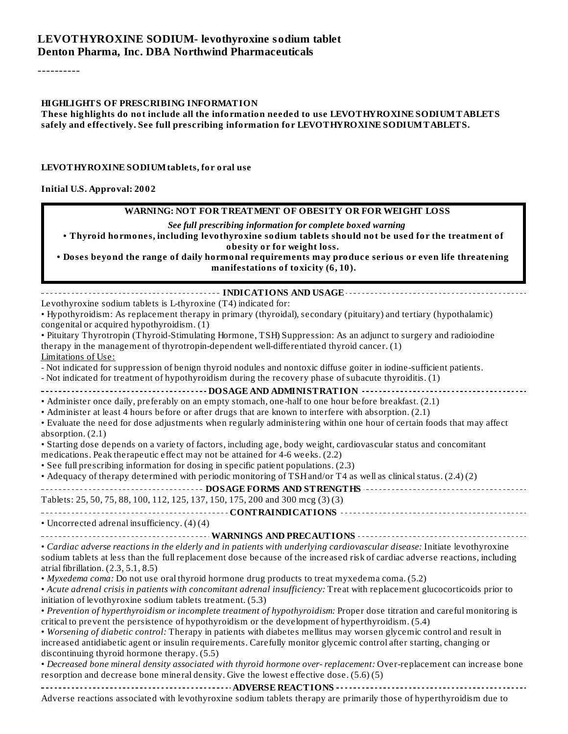#### **LEVOTHYROXINE SODIUM- levothyroxine sodium tablet Denton Pharma, Inc. DBA Northwind Pharmaceuticals**

----------

#### **HIGHLIGHTS OF PRESCRIBING INFORMATION**

**These highlights do not include all the information needed to use LEVOTHYROXINE SODIUMTABLETS safely and effectively. See full prescribing information for LEVOTHYROXINE SODIUMTABLETS.**

#### **LEVOTHYROXINE SODIUMtablets, for oral use**

#### **Initial U.S. Approval: 2002**

#### **WARNING: NOT FOR TREATMENT OF OBESITY OR FOR WEIGHT LOSS**

*See full prescribing information for complete boxed warning*

**• Thyroid hormones, including levothyroxine sodium tablets should not be used for the treatment of obesity or for weight loss.**

**• Doses beyond the range of daily hormonal requirements may produce serious or even life threatening manifestations of toxicity (6, 10).**

**INDICATIONS AND USAGE** Levothyroxine sodium tablets is L-thyroxine (T4) indicated for: • Hypothyroidism: As replacement therapy in primary (thyroidal), secondary (pituitary) and tertiary (hypothalamic) congenital or acquired hypothyroidism. (1) • Pituitary Thyrotropin (Thyroid-Stimulating Hormone, TSH) Suppression: As an adjunct to surgery and radioiodine therapy in the management of thyrotropin-dependent well-differentiated thyroid cancer. (1) Limitations of Use: - Not indicated for suppression of benign thyroid nodules and nontoxic diffuse goiter in iodine-sufficient patients. - Not indicated for treatment of hypothyroidism during the recovery phase of subacute thyroiditis. (1) **DOSAGE AND ADMINISTRATION** • Administer once daily, preferably on an empty stomach, one-half to one hour before breakfast. (2.1) • Administer at least 4 hours before or after drugs that are known to interfere with absorption. (2.1) • Evaluate the need for dose adjustments when regularly administering within one hour of certain foods that may affect absorption. (2.1) • Starting dose depends on a variety of factors, including age, body weight, cardiovascular status and concomitant medications. Peak therapeutic effect may not be attained for 4-6 weeks. (2.2) • See full prescribing information for dosing in specific patient populations. (2.3) • Adequacy of therapy determined with periodic monitoring of TSHand/or T4 as well as clinicalstatus. (2.4) (2) **DOSAGE FORMS AND STRENGTHS** Tablets: 25, 50, 75, 88, 100, 112, 125, 137, 150, 175, 200 and 300 mcg (3) (3) **CONTRAINDICATIONS** • Uncorrected adrenal insufficiency. (4) (4) **WARNINGS AND PRECAUTIONS** • *Cardiac adverse reactions in the elderly and in patients with underlying cardiovascular disease:* Initiate levothyroxine sodium tablets at less than the full replacement dose because of the increased risk of cardiac adverse reactions, including atrial fibrillation. (2.3, 5.1, 8.5) • *Myxedema coma:* Do not use oral thyroid hormone drug products to treat myxedema coma. (5.2) • *Acute adrenal crisis in patients with concomitant adrenal insufficiency:* Treat with replacement glucocorticoids prior to initiation of levothyroxine sodium tablets treatment. (5.3) • *Prevention of hyperthyroidism or incomplete treatment of hypothyroidism:* Proper dose titration and careful monitoring is critical to prevent the persistence of hypothyroidism or the development of hyperthyroidism. (5.4) • *Worsening of diabetic control:* Therapy in patients with diabetes mellitus may worsen glycemic control and result in increased antidiabetic agent or insulin requirements. Carefully monitor glycemic control after starting, changing or discontinuing thyroid hormone therapy. (5.5) • *Decreased bone mineral density associated with thyroid hormone over- replacement:* Over-replacement can increase bone resorption and decrease bone mineral density. Give the lowest effective dose. (5.6) (5) **ADVERSE REACTIONS** Adverse reactions associated with levothyroxine sodium tablets therapy are primarily those of hyperthyroidism due to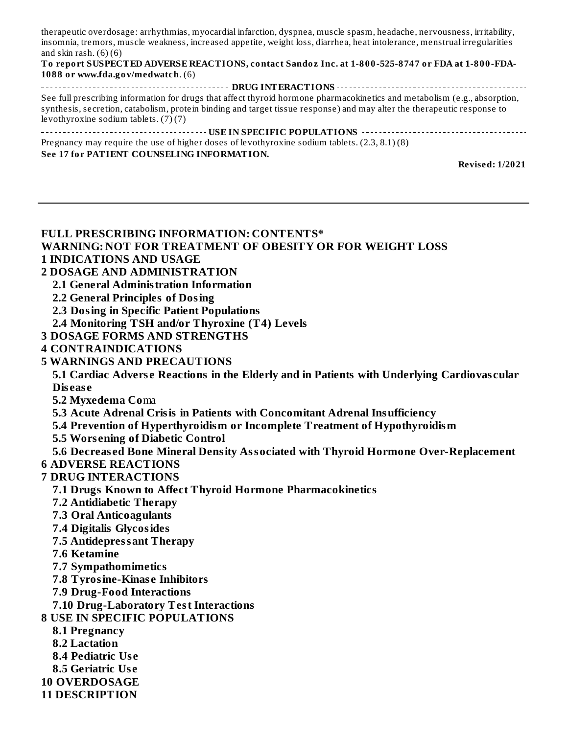therapeutic overdosage: arrhythmias, myocardial infarction, dyspnea, muscle spasm, headache, nervousness, irritability, insomnia, tremors, muscle weakness, increased appetite, weight loss, diarrhea, heat intolerance, menstrual irregularities and skin rash.  $(6)(6)$ 

#### **To report SUSPECTED ADVERSE REACTIONS, contact Sandoz Inc. at 1-800-525-8747 or FDA at 1-800-FDA-1088 or www.fda.gov/medwatch**. (6)

**DRUG INTERACTIONS CONSERVATIONS CONSTRUSTIONS CONSTRUSTIONS CONSTRUSTIONS** See full prescribing information for drugs that affect thyroid hormone pharmacokinetics and metabolism (e.g., absorption, synthesis, secretion, catabolism, protein binding and target tissue response) and may alter the therapeutic response to levothyroxine sodium tablets. (7) (7) **USE IN SPECIFIC POPULATIONS**

Pregnancy may require the use of higher doses of levothyroxine sodium tablets. (2.3, 8.1) (8) **See 17 for PATIENT COUNSELING INFORMATION.**

**Revised: 1/2021**

#### **FULL PRESCRIBING INFORMATION: CONTENTS\* WARNING: NOT FOR TREATMENT OF OBESITY OR FOR WEIGHT LOSS 1 INDICATIONS AND USAGE**

- **2 DOSAGE AND ADMINISTRATION**
- **2.1 General Administration Information**
	- **2.2 General Principles of Dosing**
	- **2.3 Dosing in Specific Patient Populations**
- **2.4 Monitoring TSH and/or Thyroxine (T4) Levels**
- **3 DOSAGE FORMS AND STRENGTHS**
- **4 CONTRAINDICATIONS**
- **5 WARNINGS AND PRECAUTIONS**

**5.1 Cardiac Advers e Reactions in the Elderly and in Patients with Underlying Cardiovas cular Dis eas e**

- **5.2 Myxedema Co**ma
- **5.3 Acute Adrenal Crisis in Patients with Concomitant Adrenal Insufficiency**
- **5.4 Prevention of Hyperthyroidism or Incomplete Treatment of Hypothyroidism**
- **5.5 Wors ening of Diabetic Control**
- **5.6 Decreas ed Bone Mineral Density Associated with Thyroid Hormone Over-Replacement**
- **6 ADVERSE REACTIONS**
- **7 DRUG INTERACTIONS**
	- **7.1 Drugs Known to Affect Thyroid Hormone Pharmacokinetics**
	- **7.2 Antidiabetic Therapy**
	- **7.3 Oral Anticoagulants**
	- **7.4 Digitalis Glycosides**
	- **7.5 Antidepressant Therapy**
	- **7.6 Ketamine**
	- **7.7 Sympathomimetics**
	- **7.8 Tyrosine-Kinas e Inhibitors**
	- **7.9 Drug-Food Interactions**
	- **7.10 Drug-Laboratory Test Interactions**
- **8 USE IN SPECIFIC POPULATIONS**
	- **8.1 Pregnancy**
	- **8.2 Lactation**
	- **8.4 Pediatric Us e**
	- **8.5 Geriatric Us e**
- **10 OVERDOSAGE**
- **11 DESCRIPTION**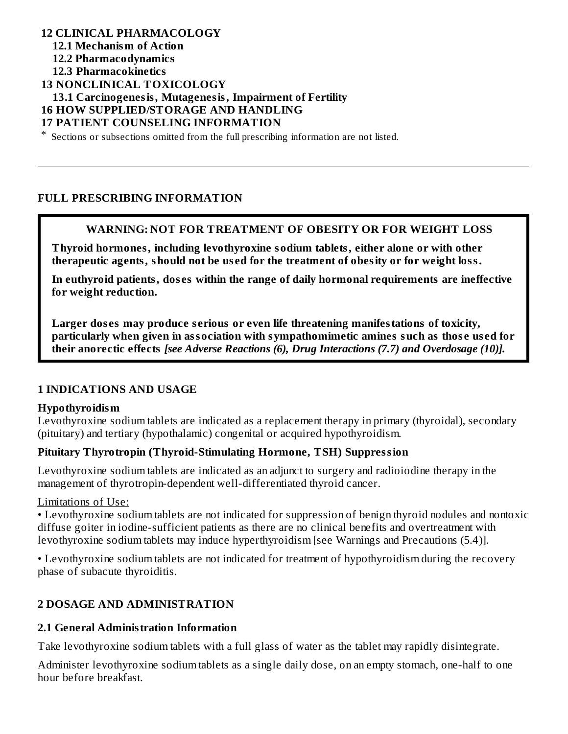#### **12 CLINICAL PHARMACOLOGY 12.1 Mechanism of Action 12.2 Pharmacodynamics 12.3 Pharmacokinetics 13 NONCLINICAL TOXICOLOGY 13.1 Carcinogenesis, Mutagenesis, Impairment of Fertility 16 HOW SUPPLIED/STORAGE AND HANDLING 17 PATIENT COUNSELING INFORMATION**

\* Sections or subsections omitted from the full prescribing information are not listed.

#### **FULL PRESCRIBING INFORMATION**

#### **WARNING: NOT FOR TREATMENT OF OBESITY OR FOR WEIGHT LOSS**

**Thyroid hormones, including levothyroxine sodium tablets, either alone or with other therapeutic agents, should not be us ed for the treatment of obesity or for weight loss.**

**In euthyroid patients, dos es within the range of daily hormonal requirements are ineffective for weight reduction.**

**Larger dos es may produce s erious or even life threatening manifestations of toxicity, particularly when given in association with sympathomimetic amines such as thos e us ed for their anorectic effects** *[see Adverse Reactions (6), Drug Interactions (7.7) and Overdosage (10)].*

#### **1 INDICATIONS AND USAGE**

#### **Hypothyroidism**

Levothyroxine sodium tablets are indicated as a replacement therapy in primary (thyroidal), secondary (pituitary) and tertiary (hypothalamic) congenital or acquired hypothyroidism.

#### **Pituitary Thyrotropin (Thyroid-Stimulating Hormone, TSH) Suppression**

Levothyroxine sodium tablets are indicated as an adjunct to surgery and radioiodine therapy in the management of thyrotropin-dependent well-differentiated thyroid cancer.

#### Limitations of Use:

• Levothyroxine sodium tablets are not indicated for suppression of benign thyroid nodules and nontoxic diffuse goiter in iodine-sufficient patients as there are no clinical benefits and overtreatment with levothyroxine sodium tablets may induce hyperthyroidism [see Warnings and Precautions (5.4)].

• Levothyroxine sodium tablets are not indicated for treatment of hypothyroidism during the recovery phase of subacute thyroiditis.

#### **2 DOSAGE AND ADMINISTRATION**

#### **2.1 General Administration Information**

Take levothyroxine sodium tablets with a full glass of water as the tablet may rapidly disintegrate.

Administer levothyroxine sodium tablets as a single daily dose, on an empty stomach, one-half to one hour before breakfast.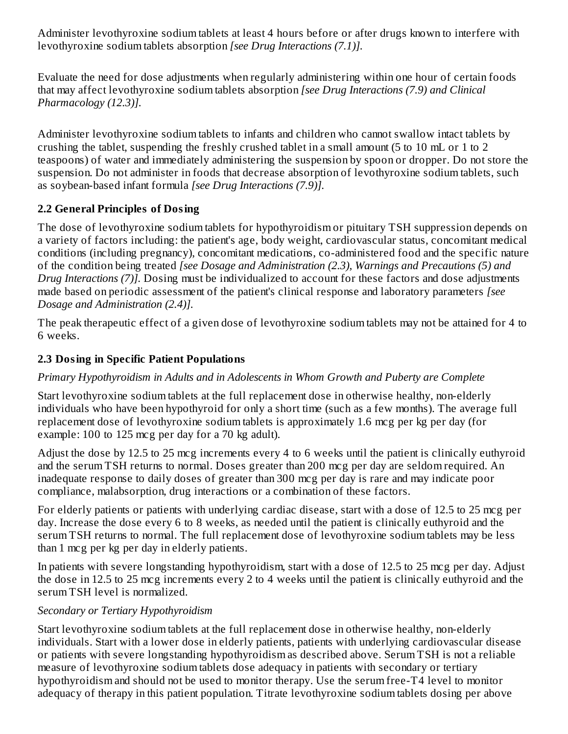Administer levothyroxine sodium tablets at least 4 hours before or after drugs known to interfere with levothyroxine sodium tablets absorption *[see Drug Interactions (7.1)].*

Evaluate the need for dose adjustments when regularly administering within one hour of certain foods that may affect levothyroxine sodium tablets absorption *[see Drug Interactions (7.9) and Clinical Pharmacology (12.3)].*

Administer levothyroxine sodium tablets to infants and children who cannot swallow intact tablets by crushing the tablet, suspending the freshly crushed tablet in a small amount (5 to 10 mL or 1 to 2 teaspoons) of water and immediately administering the suspension by spoon or dropper. Do not store the suspension. Do not administer in foods that decrease absorption of levothyroxine sodium tablets, such as soybean-based infant formula *[see Drug Interactions (7.9)].*

# **2.2 General Principles of Dosing**

The dose of levothyroxine sodium tablets for hypothyroidism or pituitary TSH suppression depends on a variety of factors including: the patient's age, body weight, cardiovascular status, concomitant medical conditions (including pregnancy), concomitant medications, co-administered food and the specific nature of the condition being treated *[see Dosage and Administration (2.3), Warnings and Precautions (5) and Drug Interactions (7)].* Dosing must be individualized to account for these factors and dose adjustments made based on periodic assessment of the patient's clinical response and laboratory parameters *[see Dosage and Administration (2.4)].*

The peak therapeutic effect of a given dose of levothyroxine sodium tablets may not be attained for 4 to 6 weeks.

# **2.3 Dosing in Specific Patient Populations**

# *Primary Hypothyroidism in Adults and in Adolescents in Whom Growth and Puberty are Complete*

Start levothyroxine sodium tablets at the full replacement dose in otherwise healthy, non-elderly individuals who have been hypothyroid for only a short time (such as a few months). The average full replacement dose of levothyroxine sodium tablets is approximately 1.6 mcg per kg per day (for example: 100 to 125 mcg per day for a 70 kg adult).

Adjust the dose by 12.5 to 25 mcg increments every 4 to 6 weeks until the patient is clinically euthyroid and the serum TSH returns to normal. Doses greater than 200 mcg per day are seldom required. An inadequate response to daily doses of greater than 300 mcg per day is rare and may indicate poor compliance, malabsorption, drug interactions or a combination of these factors.

For elderly patients or patients with underlying cardiac disease, start with a dose of 12.5 to 25 mcg per day. Increase the dose every 6 to 8 weeks, as needed until the patient is clinically euthyroid and the serum TSH returns to normal. The full replacement dose of levothyroxine sodium tablets may be less than 1 mcg per kg per day in elderly patients.

In patients with severe longstanding hypothyroidism, start with a dose of 12.5 to 25 mcg per day. Adjust the dose in 12.5 to 25 mcg increments every 2 to 4 weeks until the patient is clinically euthyroid and the serum TSH level is normalized.

# *Secondary or Tertiary Hypothyroidism*

Start levothyroxine sodium tablets at the full replacement dose in otherwise healthy, non-elderly individuals. Start with a lower dose in elderly patients, patients with underlying cardiovascular disease or patients with severe longstanding hypothyroidism as described above. Serum TSH is not a reliable measure of levothyroxine sodium tablets dose adequacy in patients with secondary or tertiary hypothyroidism and should not be used to monitor therapy. Use the serum free-T4 level to monitor adequacy of therapy in this patient population. Titrate levothyroxine sodium tablets dosing per above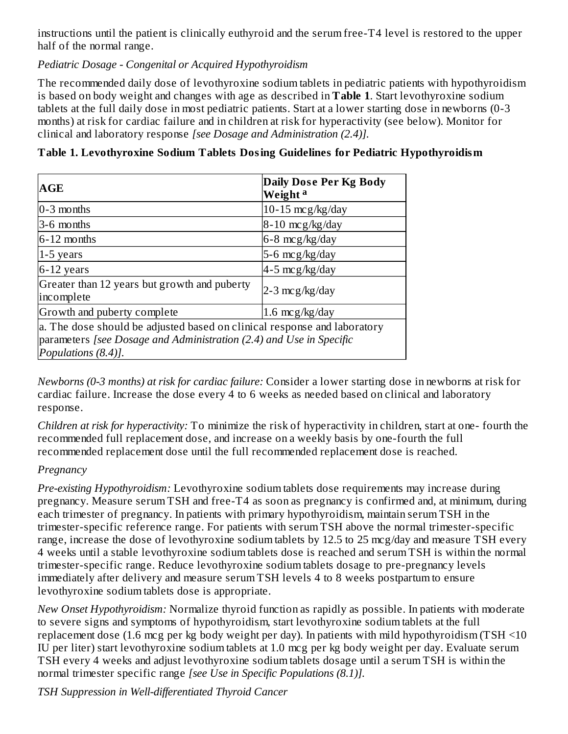instructions until the patient is clinically euthyroid and the serum free-T4 level is restored to the upper half of the normal range.

*Pediatric Dosage - Congenital or Acquired Hypothyroidism*

Greater than 12 years but growth and puberty

Growth and puberty complete  $1.6 \text{ mcg/kg/day}$ 

parameters *[see Dosage and Administration (2.4) and Use in Specific*

a. The dose should be adjusted based on clinical response and laboratory

The recommended daily dose of levothyroxine sodium tablets in pediatric patients with hypothyroidism is based on body weight and changes with age as described in **Table 1**. Start levothyroxine sodium tablets at the full daily dose in most pediatric patients. Start at a lower starting dose in newborns (0-3 months) at risk for cardiac failure and in children at risk for hyperactivity (see below). Monitor for clinical and laboratory response *[see Dosage and Administration (2.4)].*

| <b>AGE</b>      | Daily Dose Per Kg Body<br>Weight <sup>a</sup> |  |  |
|-----------------|-----------------------------------------------|--|--|
| $0 - 3$ months  | 10-15 $mcg/kg/day$                            |  |  |
| 3-6 months      | $8-10$ mcg/kg/day                             |  |  |
| $6 - 12$ months | $6-8 \text{ mcg/kg/day}$                      |  |  |
| $1-5$ years     | $5-6$ mcg/kg/day                              |  |  |
| $6-12$ years    | $4-5$ mcg/kg/day                              |  |  |

**Table 1. Levothyroxine Sodium Tablets Dosing Guidelines for Pediatric Hypothyroidism**

*Newborns (0-3 months) at risk for cardiac failure:* Consider a lower starting dose in newborns at risk for cardiac failure. Increase the dose every 4 to 6 weeks as needed based on clinical and laboratory response.

2-3 mcg/kg/day

*Children at risk for hyperactivity:* To minimize the risk of hyperactivity in children, start at one- fourth the recommended full replacement dose, and increase on a weekly basis by one-fourth the full recommended replacement dose until the full recommended replacement dose is reached.

# *Pregnancy*

incomplete

*Populations (8.4)].*

*Pre-existing Hypothyroidism:* Levothyroxine sodium tablets dose requirements may increase during pregnancy. Measure serum TSH and free-T4 as soon as pregnancy is confirmed and, at minimum, during each trimester of pregnancy. In patients with primary hypothyroidism, maintain serum TSH in the trimester-specific reference range. For patients with serum TSH above the normal trimester-specific range, increase the dose of levothyroxine sodium tablets by 12.5 to 25 mcg/day and measure TSH every 4 weeks until a stable levothyroxine sodium tablets dose is reached and serum TSH is within the normal trimester-specific range. Reduce levothyroxine sodium tablets dosage to pre-pregnancy levels immediately after delivery and measure serum TSH levels 4 to 8 weeks postpartum to ensure levothyroxine sodium tablets dose is appropriate.

*New Onset Hypothyroidism:* Normalize thyroid function as rapidly as possible. In patients with moderate to severe signs and symptoms of hypothyroidism, start levothyroxine sodium tablets at the full replacement dose (1.6 mcg per kg body weight per day). In patients with mild hypothyroidism (TSH <10 IU per liter) start levothyroxine sodium tablets at 1.0 mcg per kg body weight per day. Evaluate serum TSH every 4 weeks and adjust levothyroxine sodium tablets dosage until a serum TSH is within the normal trimester specific range *[see Use in Specific Populations (8.1)].*

*TSH Suppression in Well-differentiated Thyroid Cancer*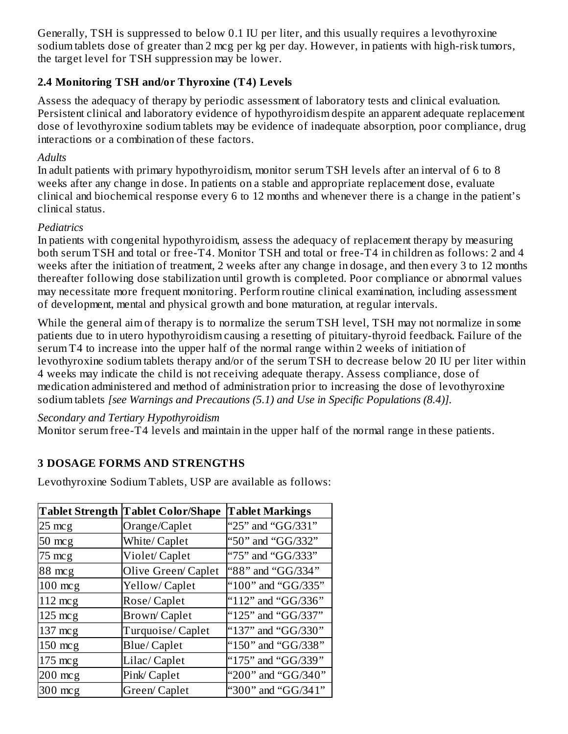Generally, TSH is suppressed to below 0.1 IU per liter, and this usually requires a levothyroxine sodium tablets dose of greater than 2 mcg per kg per day. However, in patients with high-risk tumors, the target level for TSH suppression may be lower.

# **2.4 Monitoring TSH and/or Thyroxine (T4) Levels**

Assess the adequacy of therapy by periodic assessment of laboratory tests and clinical evaluation. Persistent clinical and laboratory evidence of hypothyroidism despite an apparent adequate replacement dose of levothyroxine sodium tablets may be evidence of inadequate absorption, poor compliance, drug interactions or a combination of these factors.

#### *Adults*

In adult patients with primary hypothyroidism, monitor serum TSH levels after an interval of 6 to 8 weeks after any change in dose. In patients on a stable and appropriate replacement dose, evaluate clinical and biochemical response every 6 to 12 months and whenever there is a change in the patient's clinical status.

#### *Pediatrics*

In patients with congenital hypothyroidism, assess the adequacy of replacement therapy by measuring both serum TSH and total or free-T4. Monitor TSH and total or free-T4 in children as follows: 2 and 4 weeks after the initiation of treatment, 2 weeks after any change in dosage, and then every 3 to 12 months thereafter following dose stabilization until growth is completed. Poor compliance or abnormal values may necessitate more frequent monitoring. Perform routine clinical examination, including assessment of development, mental and physical growth and bone maturation, at regular intervals.

While the general aim of therapy is to normalize the serum TSH level, TSH may not normalize in some patients due to in utero hypothyroidism causing a resetting of pituitary-thyroid feedback. Failure of the serum T4 to increase into the upper half of the normal range within 2 weeks of initiation of levothyroxine sodium tablets therapy and/or of the serum TSH to decrease below 20 IU per liter within 4 weeks may indicate the child is not receiving adequate therapy. Assess compliance, dose of medication administered and method of administration prior to increasing the dose of levothyroxine sodium tablets *[see Warnings and Precautions (5.1) and Use in Specific Populations (8.4)].*

#### *Secondary and Tertiary Hypothyroidism*

Monitor serum free-T4 levels and maintain in the upper half of the normal range in these patients.

# **3 DOSAGE FORMS AND STRENGTHS**

Levothyroxine Sodium Tablets, USP are available as follows:

|                   | <b>Tablet Strength Tablet Color/Shape</b> | <b>Tablet Markings</b> |
|-------------------|-------------------------------------------|------------------------|
| $25 \text{ mcg}$  | Orange/Caplet                             | "25" and "GG/331"      |
| $50 \text{ mcg}$  | White/ Caplet                             | "50" and "GG/332"      |
| $75 \text{ mcg}$  | Violet/Caplet                             | "75" and "GG/333"      |
| 88 mcg            | Olive Green/Caplet                        | "88" and "GG/334"      |
| $100$ mcg         | Yellow/Caplet                             | "100" and "GG/335"     |
| $112 \text{ mcg}$ | Rose/Caplet                               | "112" and "GG/336"     |
| $125 \text{ mcg}$ | <b>Brown/Caplet</b>                       | "125" and "GG/337"     |
| $137 \text{ mcg}$ | Turquoise/Caplet                          | "137" and "GG/330"     |
| $150 \text{ mcg}$ | Blue/Caplet                               | "150" and "GG/338"     |
| $175 \text{ mcg}$ | Lilac/ Caplet                             | "175" and "GG/339"     |
| $200$ mcg         | Pink/Caplet                               | "200" and "GG/340"     |
| $300$ mcg         | Green/Caplet                              | "300" and "GG/341"     |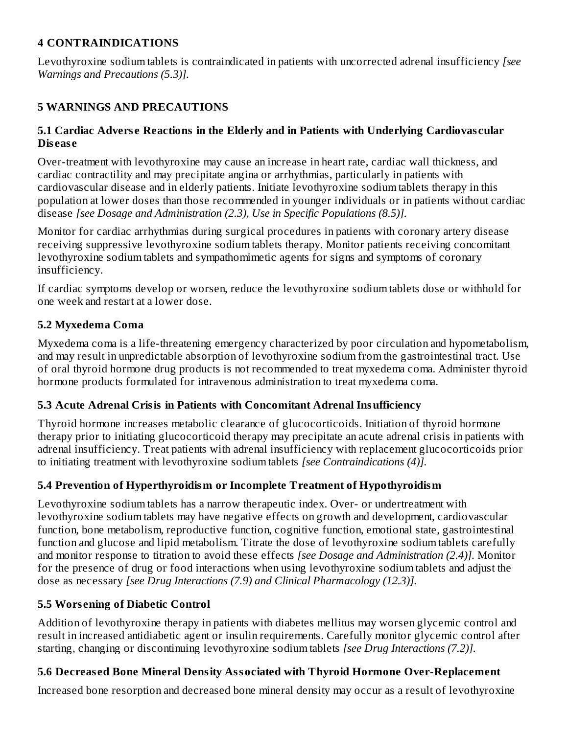# **4 CONTRAINDICATIONS**

Levothyroxine sodium tablets is contraindicated in patients with uncorrected adrenal insufficiency *[see Warnings and Precautions (5.3)].*

# **5 WARNINGS AND PRECAUTIONS**

#### **5.1 Cardiac Advers e Reactions in the Elderly and in Patients with Underlying Cardiovas cular Dis eas e**

Over-treatment with levothyroxine may cause an increase in heart rate, cardiac wall thickness, and cardiac contractility and may precipitate angina or arrhythmias, particularly in patients with cardiovascular disease and in elderly patients. Initiate levothyroxine sodium tablets therapy in this population at lower doses than those recommended in younger individuals or in patients without cardiac disease *[see Dosage and Administration (2.3), Use in Specific Populations (8.5)].*

Monitor for cardiac arrhythmias during surgical procedures in patients with coronary artery disease receiving suppressive levothyroxine sodium tablets therapy. Monitor patients receiving concomitant levothyroxine sodium tablets and sympathomimetic agents for signs and symptoms of coronary insufficiency.

If cardiac symptoms develop or worsen, reduce the levothyroxine sodium tablets dose or withhold for one week and restart at a lower dose.

### **5.2 Myxedema Coma**

Myxedema coma is a life-threatening emergency characterized by poor circulation and hypometabolism, and may result in unpredictable absorption of levothyroxine sodium from the gastrointestinal tract. Use of oral thyroid hormone drug products is not recommended to treat myxedema coma. Administer thyroid hormone products formulated for intravenous administration to treat myxedema coma.

#### **5.3 Acute Adrenal Crisis in Patients with Concomitant Adrenal Insufficiency**

Thyroid hormone increases metabolic clearance of glucocorticoids. Initiation of thyroid hormone therapy prior to initiating glucocorticoid therapy may precipitate an acute adrenal crisis in patients with adrenal insufficiency. Treat patients with adrenal insufficiency with replacement glucocorticoids prior to initiating treatment with levothyroxine sodium tablets *[see Contraindications (4)].*

# **5.4 Prevention of Hyperthyroidism or Incomplete Treatment of Hypothyroidism**

Levothyroxine sodium tablets has a narrow therapeutic index. Over- or undertreatment with levothyroxine sodium tablets may have negative effects on growth and development, cardiovascular function, bone metabolism, reproductive function, cognitive function, emotional state, gastrointestinal function and glucose and lipid metabolism. Titrate the dose of levothyroxine sodium tablets carefully and monitor response to titration to avoid these effects *[see Dosage and Administration (2.4)].* Monitor for the presence of drug or food interactions when using levothyroxine sodium tablets and adjust the dose as necessary *[see Drug Interactions (7.9) and Clinical Pharmacology (12.3)].*

# **5.5 Wors ening of Diabetic Control**

Addition of levothyroxine therapy in patients with diabetes mellitus may worsen glycemic control and result in increased antidiabetic agent or insulin requirements. Carefully monitor glycemic control after starting, changing or discontinuing levothyroxine sodium tablets *[see Drug Interactions (7.2)].*

# **5.6 Decreas ed Bone Mineral Density Associated with Thyroid Hormone Over-Replacement**

Increased bone resorption and decreased bone mineral density may occur as a result of levothyroxine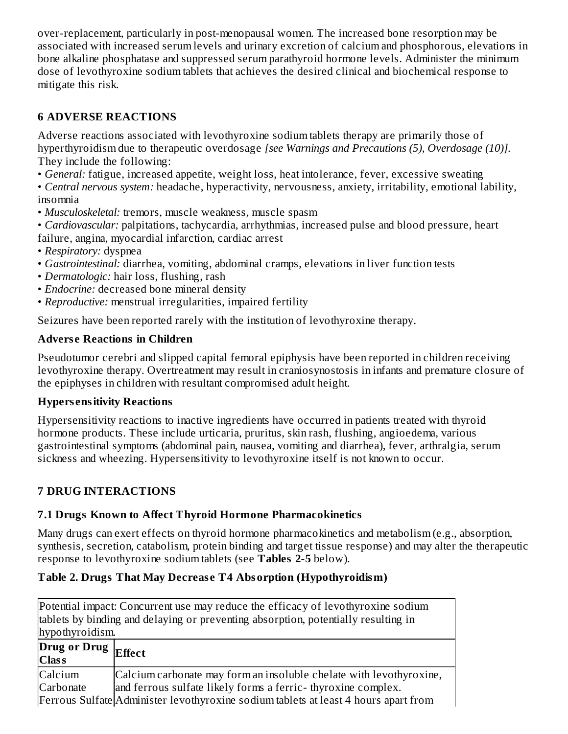over-replacement, particularly in post-menopausal women. The increased bone resorption may be associated with increased serum levels and urinary excretion of calcium and phosphorous, elevations in bone alkaline phosphatase and suppressed serum parathyroid hormone levels. Administer the minimum dose of levothyroxine sodium tablets that achieves the desired clinical and biochemical response to mitigate this risk.

# **6 ADVERSE REACTIONS**

Adverse reactions associated with levothyroxine sodium tablets therapy are primarily those of hyperthyroidism due to therapeutic overdosage *[see Warnings and Precautions (5), Overdosage (10)].* They include the following:

• *General:* fatigue, increased appetite, weight loss, heat intolerance, fever, excessive sweating

• *Central nervous system:* headache, hyperactivity, nervousness, anxiety, irritability, emotional lability, insomnia

- *Musculoskeletal:* tremors, muscle weakness, muscle spasm
- *Cardiovascular:* palpitations, tachycardia, arrhythmias, increased pulse and blood pressure, heart failure, angina, myocardial infarction, cardiac arrest
- *Respiratory:* dyspnea
- *Gastrointestinal:* diarrhea, vomiting, abdominal cramps, elevations in liver function tests
- *Dermatologic:* hair loss, flushing, rash
- *Endocrine:* decreased bone mineral density
- *Reproductive:* menstrual irregularities, impaired fertility

Seizures have been reported rarely with the institution of levothyroxine therapy.

# **Advers e Reactions in Children**

Pseudotumor cerebri and slipped capital femoral epiphysis have been reported in children receiving levothyroxine therapy. Overtreatment may result in craniosynostosis in infants and premature closure of the epiphyses in children with resultant compromised adult height.

# **Hypers ensitivity Reactions**

Hypersensitivity reactions to inactive ingredients have occurred in patients treated with thyroid hormone products. These include urticaria, pruritus, skin rash, flushing, angioedema, various gastrointestinal symptoms (abdominal pain, nausea, vomiting and diarrhea), fever, arthralgia, serum sickness and wheezing. Hypersensitivity to levothyroxine itself is not known to occur.

# **7 DRUG INTERACTIONS**

# **7.1 Drugs Known to Affect Thyroid Hormone Pharmacokinetics**

Many drugs can exert effects on thyroid hormone pharmacokinetics and metabolism (e.g., absorption, synthesis, secretion, catabolism, protein binding and target tissue response) and may alter the therapeutic response to levothyroxine sodium tablets (see **Tables 2-5** below).

# **Table 2. Drugs That May Decreas e T4 Absorption (Hypothyroidism)**

Potential impact: Concurrent use may reduce the efficacy of levothyroxine sodium tablets by binding and delaying or preventing absorption, potentially resulting in hypothyroidism. **Drug or Drug Effect**

**Class** Calcium **Carbonate** Calcium carbonate may form an insoluble chelate with levothyroxine, and ferrous sulfate likely forms a ferric- thyroxine complex.

Ferrous Sulfate Administer levothyroxine sodium tablets at least 4 hours apart from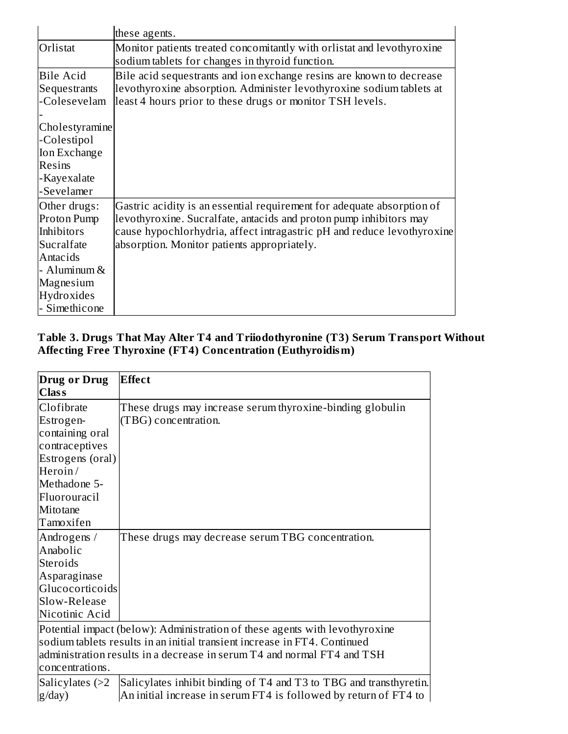|                                                                                                                                 | these agents.                                                                                                                                                                                                                                                         |
|---------------------------------------------------------------------------------------------------------------------------------|-----------------------------------------------------------------------------------------------------------------------------------------------------------------------------------------------------------------------------------------------------------------------|
| Orlistat                                                                                                                        | Monitor patients treated concomitantly with orlistat and levothyroxine<br>sodium tablets for changes in thyroid function.                                                                                                                                             |
| <b>Bile Acid</b><br>Sequestrants<br>-Colesevelam                                                                                | Bile acid sequestrants and ion exchange resins are known to decrease<br>levothyroxine absorption. Administer levothyroxine sodium tablets at<br>least 4 hours prior to these drugs or monitor TSH levels.                                                             |
| Cholestyramine<br>-Colestipol<br><b>Ion Exchange</b><br><b>Resins</b><br>-Kayexalate<br>-Sevelamer                              |                                                                                                                                                                                                                                                                       |
| Other drugs:<br>Proton Pump<br>Inhibitors<br>Sucralfate<br>Antacids<br>- Aluminum &<br>Magnesium<br>Hydroxides<br>- Simethicone | Gastric acidity is an essential requirement for adequate absorption of<br>levothyroxine. Sucralfate, antacids and proton pump inhibitors may<br>cause hypochlorhydria, affect intragastric pH and reduce levothyroxine<br>absorption. Monitor patients appropriately. |

#### **Table 3. Drugs That May Alter T4 and Triiodothyronine (T3) Serum Transport Without Affecting Free Thyroxine (FT4) Concentration (Euthyroidism)**

| Drug or Drug     | <b>Effect</b>                                                               |
|------------------|-----------------------------------------------------------------------------|
| <b>Class</b>     |                                                                             |
| Clofibrate       | These drugs may increase serum thyroxine-binding globulin                   |
| Estrogen-        | (TBG) concentration.                                                        |
| containing oral  |                                                                             |
| contraceptives   |                                                                             |
| Estrogens (oral) |                                                                             |
| Heroin/          |                                                                             |
| Methadone 5-     |                                                                             |
| Fluorouracil     |                                                                             |
| Mitotane         |                                                                             |
| Tamoxifen        |                                                                             |
| Androgens /      | These drugs may decrease serum TBG concentration.                           |
| Anabolic         |                                                                             |
| Steroids         |                                                                             |
| Asparaginase     |                                                                             |
| Glucocorticoids  |                                                                             |
| Slow-Release     |                                                                             |
| Nicotinic Acid   |                                                                             |
|                  | Potential impact (below): Administration of these agents with levothyroxine |
|                  | sodium tablets results in an initial transient increase in FT4. Continued   |
|                  | administration results in a decrease in serum T4 and normal FT4 and TSH     |
| concentrations.  |                                                                             |
| Salicylates (>2  | Salicylates inhibit binding of T4 and T3 to TBG and transthyretin.          |
| g/day)           | An initial increase in serum FT4 is followed by return of FT4 to            |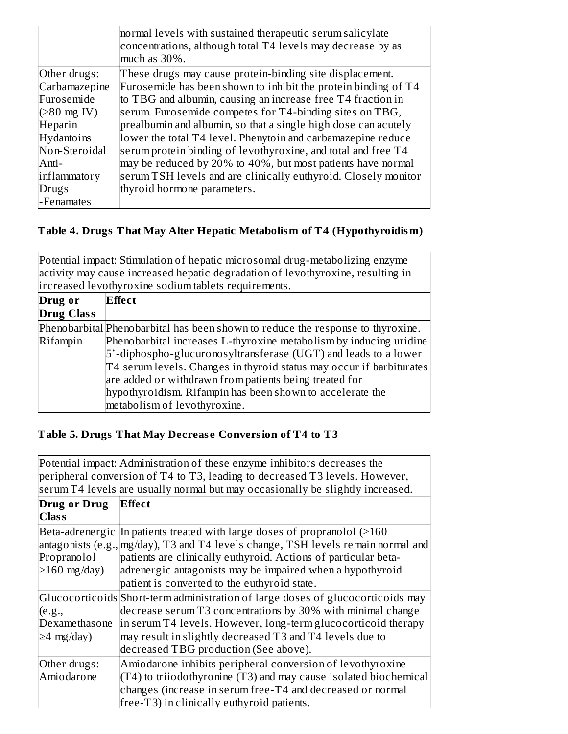|                        | normal levels with sustained therapeutic serum salicylate<br>concentrations, although total T4 levels may decrease by as<br>much as 30%. |
|------------------------|------------------------------------------------------------------------------------------------------------------------------------------|
| Other drugs:           | These drugs may cause protein-binding site displacement.                                                                                 |
| Carbamazepine          | Furosemide has been shown to inhibit the protein binding of T4                                                                           |
| Furosemide             | to TBG and albumin, causing an increase free T4 fraction in                                                                              |
| $( >80 \text{ mg IV})$ | serum. Furosemide competes for T4-binding sites on TBG,                                                                                  |
| Heparin                | prealbumin and albumin, so that a single high dose can acutely                                                                           |
| Hydantoins             | lower the total T4 level. Phenytoin and carbamazepine reduce                                                                             |
| Non-Steroidal          | serum protein binding of levothyroxine, and total and free T4                                                                            |
| Anti-                  | may be reduced by 20% to 40%, but most patients have normal                                                                              |
| inflammatory           | serum TSH levels and are clinically euthyroid. Closely monitor                                                                           |
| <b>Drugs</b>           | thyroid hormone parameters.                                                                                                              |
| l-Fenamates            |                                                                                                                                          |

# **Table 4. Drugs That May Alter Hepatic Metabolism of T4 (Hypothyroidism)**

|                              | Potential impact: Stimulation of hepatic microsomal drug-metabolizing enzyme<br>activity may cause increased hepatic degradation of levothyroxine, resulting in<br>increased levothyroxine sodium tablets requirements.                                                                                                                                                                                                                                 |
|------------------------------|---------------------------------------------------------------------------------------------------------------------------------------------------------------------------------------------------------------------------------------------------------------------------------------------------------------------------------------------------------------------------------------------------------------------------------------------------------|
| Drug or<br><b>Drug Class</b> | <b>Effect</b>                                                                                                                                                                                                                                                                                                                                                                                                                                           |
| Rifampin                     | Phenobarbital Phenobarbital has been shown to reduce the response to thyroxine.<br>Phenobarbital increases L-thyroxine metabolism by inducing uridine<br>5'-diphospho-glucuronosyltransferase (UGT) and leads to a lower<br>T4 serum levels. Changes in thyroid status may occur if barbiturates<br>are added or withdrawn from patients being treated for<br>hypothyroidism. Rifampin has been shown to accelerate the<br>metabolism of levothyroxine. |

# **Table 5. Drugs That May Decreas e Conversion of T4 to T3**

|                                             | Potential impact: Administration of these enzyme inhibitors decreases the<br>peripheral conversion of T4 to T3, leading to decreased T3 levels. However,<br>serum T4 levels are usually normal but may occasionally be slightly increased.                                                                                                       |
|---------------------------------------------|--------------------------------------------------------------------------------------------------------------------------------------------------------------------------------------------------------------------------------------------------------------------------------------------------------------------------------------------------|
| Drug or Drug<br><b>Class</b>                | <b>Effect</b>                                                                                                                                                                                                                                                                                                                                    |
| Propranolol<br>$>160$ mg/day)               | Beta-adrenergic In patients treated with large doses of propranolol $($ >160<br>antagonists (e.g., mg/day), T3 and T4 levels change, TSH levels remain normal and<br>patients are clinically euthyroid. Actions of particular beta-<br>adrenergic antagonists may be impaired when a hypothyroid<br>patient is converted to the euthyroid state. |
| (e.g.,<br>Dexamethasone<br>$\geq$ 4 mg/day) | Glucocorticoids Short-term administration of large doses of glucocorticoids may<br>decrease serum T3 concentrations by 30% with minimal change<br>in serum T4 levels. However, long-term glucocorticoid therapy<br>may result in slightly decreased T3 and T4 levels due to<br>decreased TBG production (See above).                             |
| Other drugs:<br>Amiodarone                  | Amiodarone inhibits peripheral conversion of levothyroxine<br>$(T4)$ to triiodothyronine $(T3)$ and may cause isolated biochemical<br>changes (increase in serum free-T4 and decreased or normal<br>free-T3) in clinically euthyroid patients.                                                                                                   |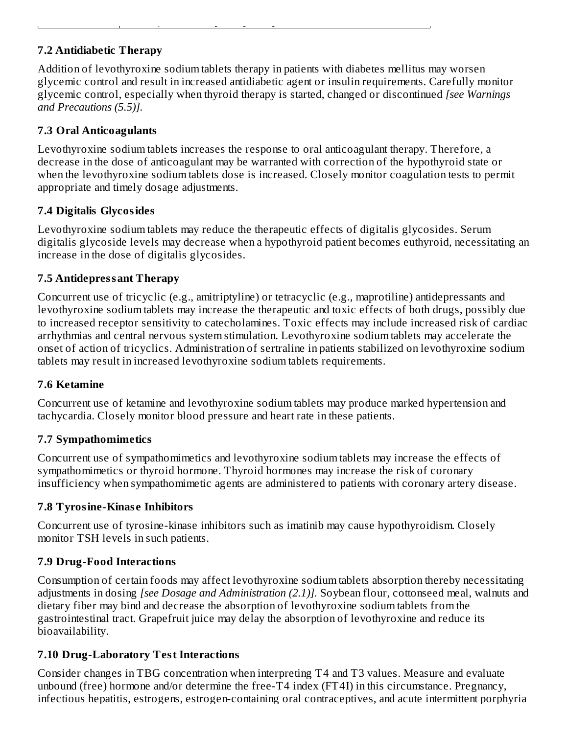# **7.2 Antidiabetic Therapy**

Addition of levothyroxine sodium tablets therapy in patients with diabetes mellitus may worsen glycemic control and result in increased antidiabetic agent or insulin requirements. Carefully monitor glycemic control, especially when thyroid therapy is started, changed or discontinued *[see Warnings and Precautions (5.5)].*

free-T3) in clinically euthyroid patients.

# **7.3 Oral Anticoagulants**

Levothyroxine sodium tablets increases the response to oral anticoagulant therapy. Therefore, a decrease in the dose of anticoagulant may be warranted with correction of the hypothyroid state or when the levothyroxine sodium tablets dose is increased. Closely monitor coagulation tests to permit appropriate and timely dosage adjustments.

# **7.4 Digitalis Glycosides**

Levothyroxine sodium tablets may reduce the therapeutic effects of digitalis glycosides. Serum digitalis glycoside levels may decrease when a hypothyroid patient becomes euthyroid, necessitating an increase in the dose of digitalis glycosides.

# **7.5 Antidepressant Therapy**

Concurrent use of tricyclic (e.g., amitriptyline) or tetracyclic (e.g., maprotiline) antidepressants and levothyroxine sodium tablets may increase the therapeutic and toxic effects of both drugs, possibly due to increased receptor sensitivity to catecholamines. Toxic effects may include increased risk of cardiac arrhythmias and central nervous system stimulation. Levothyroxine sodium tablets may accelerate the onset of action of tricyclics. Administration of sertraline in patients stabilized on levothyroxine sodium tablets may result in increased levothyroxine sodium tablets requirements.

# **7.6 Ketamine**

Concurrent use of ketamine and levothyroxine sodium tablets may produce marked hypertension and tachycardia. Closely monitor blood pressure and heart rate in these patients.

# **7.7 Sympathomimetics**

Concurrent use of sympathomimetics and levothyroxine sodium tablets may increase the effects of sympathomimetics or thyroid hormone. Thyroid hormones may increase the risk of coronary insufficiency when sympathomimetic agents are administered to patients with coronary artery disease.

# **7.8 Tyrosine-Kinas e Inhibitors**

Concurrent use of tyrosine-kinase inhibitors such as imatinib may cause hypothyroidism. Closely monitor TSH levels in such patients.

# **7.9 Drug-Food Interactions**

Consumption of certain foods may affect levothyroxine sodium tablets absorption thereby necessitating adjustments in dosing *[see Dosage and Administration (2.1)].* Soybean flour, cottonseed meal, walnuts and dietary fiber may bind and decrease the absorption of levothyroxine sodium tablets from the gastrointestinal tract. Grapefruit juice may delay the absorption of levothyroxine and reduce its bioavailability.

# **7.10 Drug-Laboratory Test Interactions**

Consider changes in TBG concentration when interpreting T4 and T3 values. Measure and evaluate unbound (free) hormone and/or determine the free-T4 index (FT4I) in this circumstance. Pregnancy, infectious hepatitis, estrogens, estrogen-containing oral contraceptives, and acute intermittent porphyria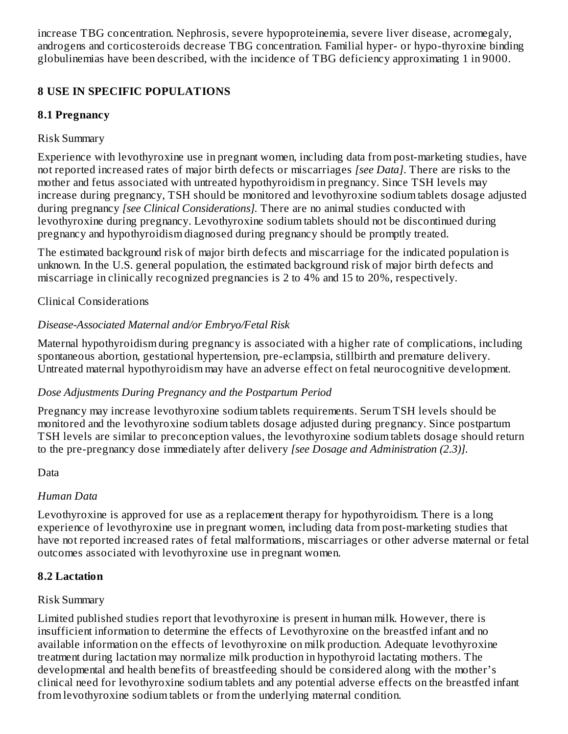increase TBG concentration. Nephrosis, severe hypoproteinemia, severe liver disease, acromegaly, androgens and corticosteroids decrease TBG concentration. Familial hyper- or hypo-thyroxine binding globulinemias have been described, with the incidence of TBG deficiency approximating 1 in 9000.

# **8 USE IN SPECIFIC POPULATIONS**

# **8.1 Pregnancy**

## Risk Summary

Experience with levothyroxine use in pregnant women, including data from post-marketing studies, have not reported increased rates of major birth defects or miscarriages *[see Data]*. There are risks to the mother and fetus associated with untreated hypothyroidism in pregnancy. Since TSH levels may increase during pregnancy, TSH should be monitored and levothyroxine sodium tablets dosage adjusted during pregnancy *[see Clinical Considerations].* There are no animal studies conducted with levothyroxine during pregnancy. Levothyroxine sodium tablets should not be discontinued during pregnancy and hypothyroidism diagnosed during pregnancy should be promptly treated.

The estimated background risk of major birth defects and miscarriage for the indicated population is unknown. In the U.S. general population, the estimated background risk of major birth defects and miscarriage in clinically recognized pregnancies is 2 to 4% and 15 to 20%, respectively.

# Clinical Considerations

# *Disease-Associated Maternal and/or Embryo/Fetal Risk*

Maternal hypothyroidism during pregnancy is associated with a higher rate of complications, including spontaneous abortion, gestational hypertension, pre-eclampsia, stillbirth and premature delivery. Untreated maternal hypothyroidism may have an adverse effect on fetal neurocognitive development.

# *Dose Adjustments During Pregnancy and the Postpartum Period*

Pregnancy may increase levothyroxine sodium tablets requirements. Serum TSH levels should be monitored and the levothyroxine sodium tablets dosage adjusted during pregnancy. Since postpartum TSH levels are similar to preconception values, the levothyroxine sodium tablets dosage should return to the pre-pregnancy dose immediately after delivery *[see Dosage and Administration (2.3)].*

#### Data

#### *Human Data*

Levothyroxine is approved for use as a replacement therapy for hypothyroidism. There is a long experience of levothyroxine use in pregnant women, including data from post-marketing studies that have not reported increased rates of fetal malformations, miscarriages or other adverse maternal or fetal outcomes associated with levothyroxine use in pregnant women.

#### **8.2 Lactation**

#### Risk Summary

Limited published studies report that levothyroxine is present in human milk. However, there is insufficient information to determine the effects of Levothyroxine on the breastfed infant and no available information on the effects of levothyroxine on milk production. Adequate levothyroxine treatment during lactation may normalize milk production in hypothyroid lactating mothers. The developmental and health benefits of breastfeeding should be considered along with the mother's clinical need for levothyroxine sodium tablets and any potential adverse effects on the breastfed infant from levothyroxine sodium tablets or from the underlying maternal condition.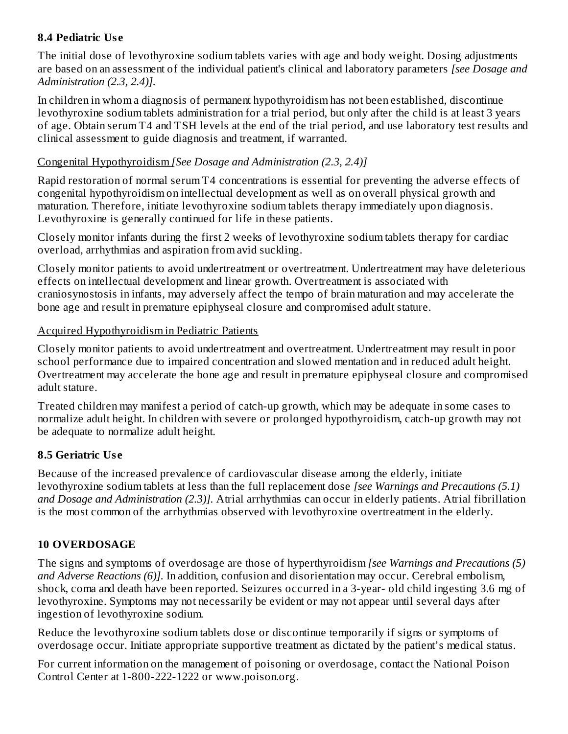#### **8.4 Pediatric Us e**

The initial dose of levothyroxine sodium tablets varies with age and body weight. Dosing adjustments are based on an assessment of the individual patient's clinical and laboratory parameters *[see Dosage and Administration (2.3, 2.4)].*

In children in whom a diagnosis of permanent hypothyroidism has not been established, discontinue levothyroxine sodium tablets administration for a trial period, but only after the child is at least 3 years of age. Obtain serum T4 and TSH levels at the end of the trial period, and use laboratory test results and clinical assessment to guide diagnosis and treatment, if warranted.

## Congenital Hypothyroidism *[See Dosage and Administration (2.3, 2.4)]*

Rapid restoration of normal serum T4 concentrations is essential for preventing the adverse effects of congenital hypothyroidism on intellectual development as well as on overall physical growth and maturation. Therefore, initiate levothyroxine sodium tablets therapy immediately upon diagnosis. Levothyroxine is generally continued for life in these patients.

Closely monitor infants during the first 2 weeks of levothyroxine sodium tablets therapy for cardiac overload, arrhythmias and aspiration from avid suckling.

Closely monitor patients to avoid undertreatment or overtreatment. Undertreatment may have deleterious effects on intellectual development and linear growth. Overtreatment is associated with craniosynostosis in infants, may adversely affect the tempo of brain maturation and may accelerate the bone age and result in premature epiphyseal closure and compromised adult stature.

### Acquired Hypothyroidism in Pediatric Patients

Closely monitor patients to avoid undertreatment and overtreatment. Undertreatment may result in poor school performance due to impaired concentration and slowed mentation and in reduced adult height. Overtreatment may accelerate the bone age and result in premature epiphyseal closure and compromised adult stature.

Treated children may manifest a period of catch-up growth, which may be adequate in some cases to normalize adult height. In children with severe or prolonged hypothyroidism, catch-up growth may not be adequate to normalize adult height.

# **8.5 Geriatric Us e**

Because of the increased prevalence of cardiovascular disease among the elderly, initiate levothyroxine sodium tablets at less than the full replacement dose *[see Warnings and Precautions (5.1) and Dosage and Administration (2.3)].* Atrial arrhythmias can occur in elderly patients. Atrial fibrillation is the most common of the arrhythmias observed with levothyroxine overtreatment in the elderly.

# **10 OVERDOSAGE**

The signs and symptoms of overdosage are those of hyperthyroidism *[see Warnings and Precautions (5) and Adverse Reactions (6)].* In addition, confusion and disorientation may occur. Cerebral embolism, shock, coma and death have been reported. Seizures occurred in a 3-year- old child ingesting 3.6 mg of levothyroxine. Symptoms may not necessarily be evident or may not appear until several days after ingestion of levothyroxine sodium.

Reduce the levothyroxine sodium tablets dose or discontinue temporarily if signs or symptoms of overdosage occur. Initiate appropriate supportive treatment as dictated by the patient's medical status.

For current information on the management of poisoning or overdosage, contact the National Poison Control Center at 1-800-222-1222 or www.poison.org.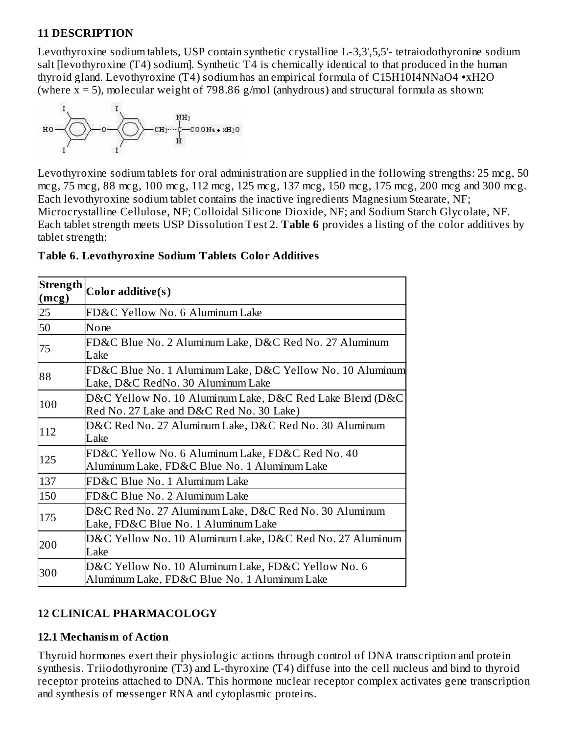#### **11 DESCRIPTION**

Levothyroxine sodium tablets, USP contain synthetic crystalline L-3,3',5,5'- tetraiodothyronine sodium salt [levothyroxine (T4) sodium]. Synthetic T4 is chemically identical to that produced in the human thyroid gland. Levothyroxine (T4) sodium has an empirical formula of C15H10I4NNaO4 **•**xH2O (where  $x = 5$ ), molecular weight of 798.86 g/mol (anhydrous) and structural formula as shown:



Levothyroxine sodium tablets for oral administration are supplied in the following strengths: 25 mcg, 50 mcg, 75 mcg, 88 mcg, 100 mcg, 112 mcg, 125 mcg, 137 mcg, 150 mcg, 175 mcg, 200 mcg and 300 mcg. Each levothyroxine sodium tablet contains the inactive ingredients Magnesium Stearate, NF; Microcrystalline Cellulose, NF; Colloidal Silicone Dioxide, NF; and Sodium Starch Glycolate, NF. Each tablet strength meets USP Dissolution Test 2. **Table 6** provides a listing of the color additives by tablet strength:

| Strength<br>(mcg) | Color additive(s)                                                                                    |
|-------------------|------------------------------------------------------------------------------------------------------|
| 25                | FD&C Yellow No. 6 Aluminum Lake                                                                      |
| 50                | None                                                                                                 |
| 75                | FD&C Blue No. 2 Aluminum Lake, D&C Red No. 27 Aluminum<br>Lake                                       |
| 88                | FD&C Blue No. 1 Aluminum Lake, D&C Yellow No. 10 Aluminum<br>Lake, D&C RedNo. 30 Aluminum Lake       |
| 100               | D&C Yellow No. 10 Aluminum Lake, D&C Red Lake Blend (D&C<br>Red No. 27 Lake and D&C Red No. 30 Lake) |
| 112               | D&C Red No. 27 Aluminum Lake, D&C Red No. 30 Aluminum<br>Lake                                        |
| 125               | FD&C Yellow No. 6 Aluminum Lake, FD&C Red No. 40<br>Aluminum Lake, FD&C Blue No. 1 Aluminum Lake     |
| 137               | FD&C Blue No. 1 Aluminum Lake                                                                        |
| 150               | FD&C Blue No. 2 Aluminum Lake                                                                        |
| 175               | D&C Red No. 27 Aluminum Lake, D&C Red No. 30 Aluminum<br>Lake, FD&C Blue No. 1 Aluminum Lake         |
| 200               | D&C Yellow No. 10 Aluminum Lake, D&C Red No. 27 Aluminum<br>Lake                                     |
| 300               | D&C Yellow No. 10 Aluminum Lake, FD&C Yellow No. 6<br>Aluminum Lake, FD&C Blue No. 1 Aluminum Lake   |

#### **Table 6. Levothyroxine Sodium Tablets Color Additives**

# **12 CLINICAL PHARMACOLOGY**

#### **12.1 Mechanism of Action**

Thyroid hormones exert their physiologic actions through control of DNA transcription and protein synthesis. Triiodothyronine (T3) and L-thyroxine (T4) diffuse into the cell nucleus and bind to thyroid receptor proteins attached to DNA. This hormone nuclear receptor complex activates gene transcription and synthesis of messenger RNA and cytoplasmic proteins.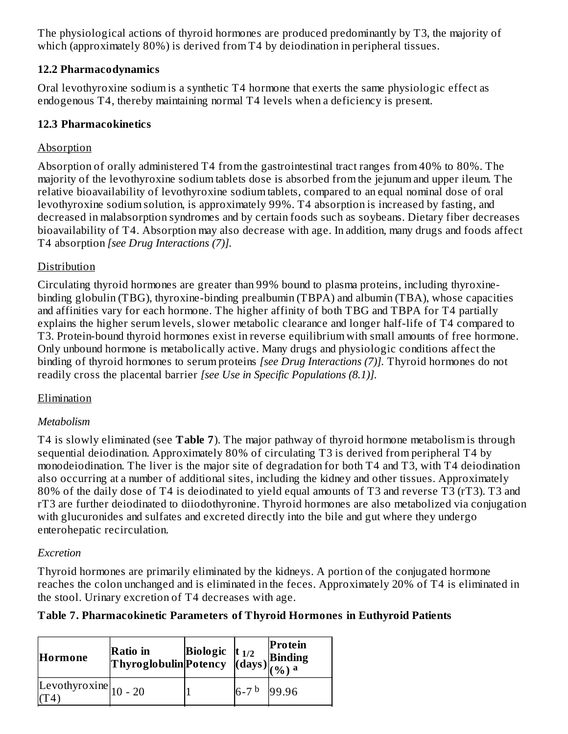The physiological actions of thyroid hormones are produced predominantly by T3, the majority of which (approximately 80%) is derived from T4 by deiodination in peripheral tissues.

#### **12.2 Pharmacodynamics**

Oral levothyroxine sodium is a synthetic T4 hormone that exerts the same physiologic effect as endogenous T4, thereby maintaining normal T4 levels when a deficiency is present.

## **12.3 Pharmacokinetics**

### **Absorption**

Absorption of orally administered T4 from the gastrointestinal tract ranges from 40% to 80%. The majority of the levothyroxine sodium tablets dose is absorbed from the jejunum and upper ileum. The relative bioavailability of levothyroxine sodium tablets, compared to an equal nominal dose of oral levothyroxine sodium solution, is approximately 99%. T4 absorption is increased by fasting, and decreased in malabsorption syndromes and by certain foods such as soybeans. Dietary fiber decreases bioavailability of T4. Absorption may also decrease with age. In addition, many drugs and foods affect T4 absorption *[see Drug Interactions (7)].*

### Distribution

Circulating thyroid hormones are greater than 99% bound to plasma proteins, including thyroxinebinding globulin (TBG), thyroxine-binding prealbumin (TBPA) and albumin (TBA), whose capacities and affinities vary for each hormone. The higher affinity of both TBG and TBPA for T4 partially explains the higher serum levels, slower metabolic clearance and longer half-life of T4 compared to T3. Protein-bound thyroid hormones exist in reverse equilibrium with small amounts of free hormone. Only unbound hormone is metabolically active. Many drugs and physiologic conditions affect the binding of thyroid hormones to serum proteins *[see Drug Interactions (7)].* Thyroid hormones do not readily cross the placental barrier *[see Use in Specific Populations (8.1)].*

#### Elimination

#### *Metabolism*

T4 is slowly eliminated (see **Table 7**). The major pathway of thyroid hormone metabolism is through sequential deiodination. Approximately 80% of circulating T3 is derived from peripheral T4 by monodeiodination. The liver is the major site of degradation for both T4 and T3, with T4 deiodination also occurring at a number of additional sites, including the kidney and other tissues. Approximately 80% of the daily dose of T4 is deiodinated to yield equal amounts of T3 and reverse T3 (rT3). T3 and rT3 are further deiodinated to diiodothyronine. Thyroid hormones are also metabolized via conjugation with glucuronides and sulfates and excreted directly into the bile and gut where they undergo enterohepatic recirculation.

#### *Excretion*

Thyroid hormones are primarily eliminated by the kidneys. A portion of the conjugated hormone reaches the colon unchanged and is eliminated in the feces. Approximately 20% of T4 is eliminated in the stool. Urinary excretion of T4 decreases with age.

# **Table 7. Pharmacokinetic Parameters of Thyroid Hormones in Euthyroid Patients**

| Hormone                         | Ratio in Biologic $\begin{vmatrix} 1/2 \\ 1/2 \end{vmatrix}$ Binding<br>Thyroglobulin Potency $\begin{vmatrix} 1 & 0 & 0 \\ (days) & (q_0) & a \end{vmatrix}$ |             | Protein |
|---------------------------------|---------------------------------------------------------------------------------------------------------------------------------------------------------------|-------------|---------|
| Levothyroxine $\vert_{10}$ - 20 |                                                                                                                                                               | $6 - 7^{b}$ | 99.96   |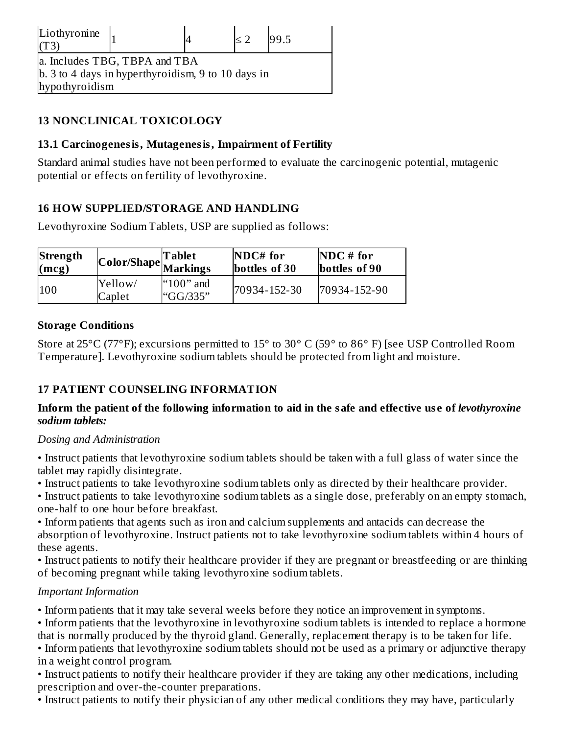| Liothyronine<br>(T3)                               |  |  |  | 99.5 |  |
|----------------------------------------------------|--|--|--|------|--|
| a. Includes TBG, TBPA and TBA                      |  |  |  |      |  |
| b. 3 to 4 days in hyperthyroidism, 9 to 10 days in |  |  |  |      |  |
| hypothyroidism                                     |  |  |  |      |  |

## **13 NONCLINICAL TOXICOLOGY**

#### **13.1 Carcinogenesis, Mutagenesis, Impairment of Fertility**

Standard animal studies have not been performed to evaluate the carcinogenic potential, mutagenic potential or effects on fertility of levothyroxine.

#### **16 HOW SUPPLIED/STORAGE AND HANDLING**

Levothyroxine Sodium Tablets, USP are supplied as follows:

| Strength               |                   | <b>Tablet</b>                  | $NDC#$ for    | $NDC \# for$  |
|------------------------|-------------------|--------------------------------|---------------|---------------|
| $\left($ mcg $\right)$ |                   | Color/Shape  Ma <u>rkin</u> gs | bottles of 30 | bottles of 90 |
| 100                    | Yellow/<br>Caplet | " $100"$ and<br>"GG/335"       | 70934-152-30  | 70934-152-90  |

#### **Storage Conditions**

Store at 25°C (77°F); excursions permitted to 15° to 30° C (59° to 86° F) [see USP Controlled Room Temperature]. Levothyroxine sodium tablets should be protected from light and moisture.

# **17 PATIENT COUNSELING INFORMATION**

#### Inform the patient of the following information to aid in the safe and effective use of levothyroxine *sodium tablets:*

#### *Dosing and Administration*

• Instruct patients that levothyroxine sodium tablets should be taken with a full glass of water since the tablet may rapidly disintegrate.

• Instruct patients to take levothyroxine sodium tablets only as directed by their healthcare provider.

• Instruct patients to take levothyroxine sodium tablets as a single dose, preferably on an empty stomach, one-half to one hour before breakfast.

• Inform patients that agents such as iron and calcium supplements and antacids can decrease the absorption of levothyroxine. Instruct patients not to take levothyroxine sodium tablets within 4 hours of these agents.

• Instruct patients to notify their healthcare provider if they are pregnant or breastfeeding or are thinking of becoming pregnant while taking levothyroxine sodium tablets.

#### *Important Information*

• Inform patients that it may take several weeks before they notice an improvement in symptoms.

• Inform patients that the levothyroxine in levothyroxine sodium tablets is intended to replace a hormone that is normally produced by the thyroid gland. Generally, replacement therapy is to be taken for life.

• Inform patients that levothyroxine sodium tablets should not be used as a primary or adjunctive therapy in a weight control program.

• Instruct patients to notify their healthcare provider if they are taking any other medications, including prescription and over-the-counter preparations.

• Instruct patients to notify their physician of any other medical conditions they may have, particularly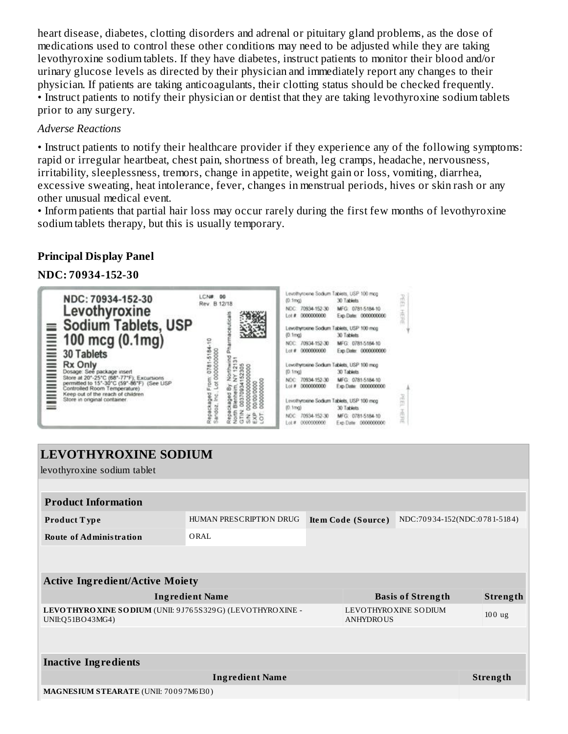heart disease, diabetes, clotting disorders and adrenal or pituitary gland problems, as the dose of medications used to control these other conditions may need to be adjusted while they are taking levothyroxine sodium tablets. If they have diabetes, instruct patients to monitor their blood and/or urinary glucose levels as directed by their physician and immediately report any changes to their physician. If patients are taking anticoagulants, their clotting status should be checked frequently. • Instruct patients to notify their physician or dentist that they are taking levothyroxine sodium tablets prior to any surgery.

#### *Adverse Reactions*

• Instruct patients to notify their healthcare provider if they experience any of the following symptoms: rapid or irregular heartbeat, chest pain, shortness of breath, leg cramps, headache, nervousness, irritability, sleeplessness, tremors, change in appetite, weight gain or loss, vomiting, diarrhea, excessive sweating, heat intolerance, fever, changes in menstrual periods, hives or skin rash or any other unusual medical event.

• Inform patients that partial hair loss may occur rarely during the first few months of levothyroxine sodium tablets therapy, but this is usually temporary.

#### **Principal Display Panel**

**NDC: 70934-152-30**



| <b>LEVOTHYROXINE SODIUM</b>                                                    |  |  |                                          |                          |                              |
|--------------------------------------------------------------------------------|--|--|------------------------------------------|--------------------------|------------------------------|
|                                                                                |  |  |                                          |                          |                              |
|                                                                                |  |  |                                          |                          |                              |
| <b>HUMAN PRESCRIPTION DRUG</b>                                                 |  |  |                                          |                          |                              |
| ORAL                                                                           |  |  |                                          |                          |                              |
|                                                                                |  |  |                                          |                          |                              |
| <b>Active Ingredient/Active Moiety</b>                                         |  |  |                                          |                          |                              |
| <b>Ingredient Name</b>                                                         |  |  |                                          |                          | Strength                     |
| LEVOTHYRO XINE SODIUM (UNII: 9J765S329G) (LEVOTHYRO XINE -<br>UNII:Q51BO43MG4) |  |  | LEVOTHYROXINE SODIUM<br><b>ANHYDROUS</b> |                          | $100$ ug                     |
|                                                                                |  |  |                                          |                          |                              |
|                                                                                |  |  |                                          |                          |                              |
| <b>Ingredient Name</b>                                                         |  |  |                                          |                          | <b>Strength</b>              |
| MAGNESIUM STEARATE (UNII: 70097M6I30)                                          |  |  |                                          |                          |                              |
|                                                                                |  |  | Item Code (Source)                       | <b>Basis of Strength</b> | NDC:70934-152(NDC:0781-5184) |